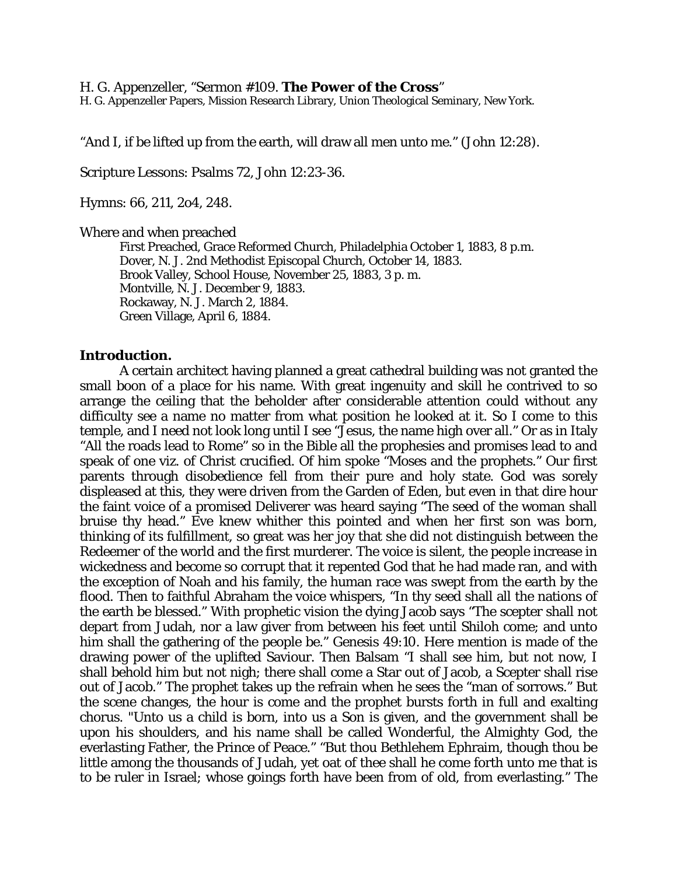H. G. Appenzeller, "Sermon #109. **The Power of the Cross**"

H. G. Appenzeller Papers, Mission Research Library, Union Theological Seminary, New York.

"And I, if be lifted up from the earth, will draw all men unto me." (John 12:28).

Scripture Lessons: Psalms 72, John 12:23-36.

Hymns: 66, 211, 2o4, 248.

Where and when preached

First Preached, Grace Reformed Church, Philadelphia October 1, 1883, 8 p.m. Dover, N. J. 2nd Methodist Episcopal Church, October 14, 1883. Brook Valley, School House, November 25, 1883, 3 p. m. Montville, N. J. December 9, 1883. Rockaway, N. J. March 2, 1884. Green Village, April 6, 1884.

## **Introduction.**

A certain architect having planned a great cathedral building was not granted the small boon of a place for his name. With great ingenuity and skill he contrived to so arrange the ceiling that the beholder after considerable attention could without any difficulty see a name no matter from what position he looked at it. So I come to this temple, and I need not look long until I see "Jesus, the name high over all." Or as in Italy "All the roads lead to Rome" so in the Bible all the prophesies and promises lead to and speak of one viz. of Christ crucified. Of him spoke "Moses and the prophets." Our first parents through disobedience fell from their pure and holy state. God was sorely displeased at this, they were driven from the Garden of Eden, but even in that dire hour the faint voice of a promised Deliverer was heard saying "The seed of the woman shall bruise thy head." Eve knew whither this pointed and when her first son was born, thinking of its fulfillment, so great was her joy that she did not distinguish between the Redeemer of the world and the first murderer. The voice is silent, the people increase in wickedness and become so corrupt that it repented God that he had made ran, and with the exception of Noah and his family, the human race was swept from the earth by the flood. Then to faithful Abraham the voice whispers, "In thy seed shall all the nations of the earth be blessed." With prophetic vision the dying Jacob says "The scepter shall not depart from Judah, nor a law giver from between his feet until Shiloh come; and unto him shall the gathering of the people be." Genesis 49:10. Here mention is made of the drawing power of the uplifted Saviour. Then Balsam "I shall see him, but not now, I shall behold him but not nigh; there shall come a Star out of Jacob, a Scepter shall rise out of Jacob." The prophet takes up the refrain when he sees the "man of sorrows." But the scene changes, the hour is come and the prophet bursts forth in full and exalting chorus. "Unto us a child is born, into us a Son is given, and the government shall be upon his shoulders, and his name shall be called Wonderful, the Almighty God, the everlasting Father, the Prince of Peace." "But thou Bethlehem Ephraim, though thou be little among the thousands of Judah, yet oat of thee shall he come forth unto me that is to be ruler in Israel; whose goings forth have been from of old, from everlasting." The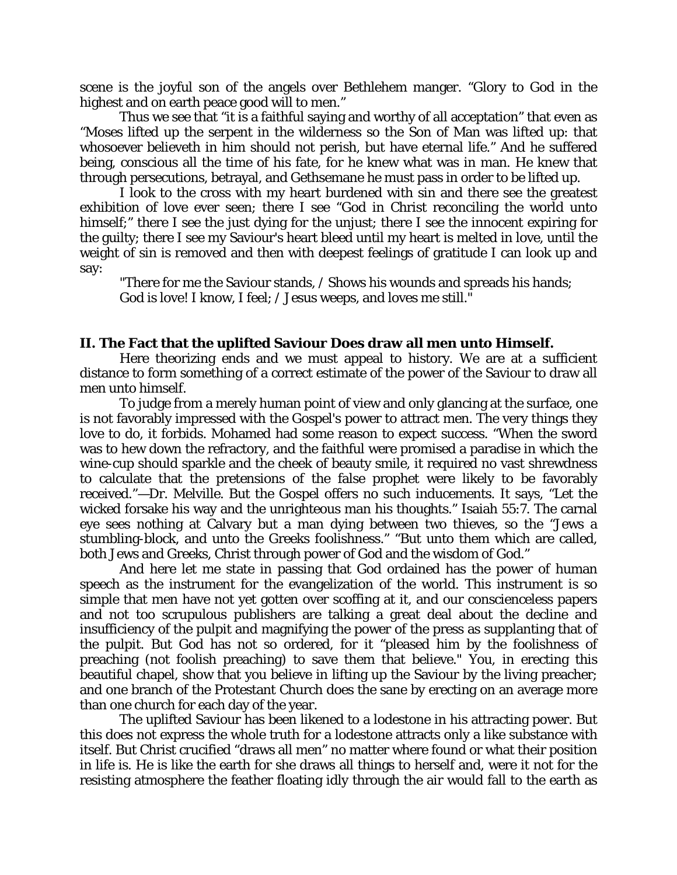scene is the joyful son of the angels over Bethlehem manger. "Glory to God in the highest and on earth peace good will to men."

Thus we see that "it is a faithful saying and worthy of all acceptation" that even as "Moses lifted up the serpent in the wilderness so the Son of Man was lifted up: that whosoever believeth in him should not perish, but have eternal life." And he suffered being, conscious all the time of his fate, for he knew what was in man. He knew that through persecutions, betrayal, and Gethsemane he must pass in order to be lifted up.

I look to the cross with my heart burdened with sin and there see the greatest exhibition of love ever seen; there I see "God in Christ reconciling the world unto himself;" there I see the just dying for the unjust; there I see the innocent expiring for the guilty; there I see my Saviour's heart bleed until my heart is melted in love, until the weight of sin is removed and then with deepest feelings of gratitude I can look up and say:

"There for me the Saviour stands, / Shows his wounds and spreads his hands; God is love! I know, I feel; / Jesus weeps, and loves me still."

## **II. The Fact that the uplifted Saviour Does draw all men unto Himself.**

Here theorizing ends and we must appeal to history. We are at a sufficient distance to form something of a correct estimate of the power of the Saviour to draw all men unto himself.

To judge from a merely human point of view and only glancing at the surface, one is not favorably impressed with the Gospel's power to attract men. The very things they love to do, it forbids. Mohamed had some reason to expect success. "When the sword was to hew down the refractory, and the faithful were promised a paradise in which the wine-cup should sparkle and the cheek of beauty smile, it required no vast shrewdness to calculate that the pretensions of the false prophet were likely to be favorably received."—Dr. Melville. But the Gospel offers no such inducements. It says, "Let the wicked forsake his way and the unrighteous man his thoughts." Isaiah 55:7. The carnal eye sees nothing at Calvary but a man dying between two thieves, so the "Jews a stumbling-block, and unto the Greeks foolishness." "But unto them which are called, both Jews and Greeks, Christ through power of God and the wisdom of God."

And here let me state in passing that God ordained has the power of human speech as the instrument for the evangelization of the world. This instrument is so simple that men have not yet gotten over scoffing at it, and our conscienceless papers and not too scrupulous publishers are talking a great deal about the decline and insufficiency of the pulpit and magnifying the power of the press as supplanting that of the pulpit. But God has not so ordered, for it "pleased him by the foolishness of preaching (not foolish preaching) to save them that believe." You, in erecting this beautiful chapel, show that you believe in lifting up the Saviour by the living preacher; and one branch of the Protestant Church does the sane by erecting on an average more than one church for each day of the year.

The uplifted Saviour has been likened to a lodestone in his attracting power. But this does not express the whole truth for a lodestone attracts only a like substance with itself. But Christ crucified "draws all men" no matter where found or what their position in life is. He is like the earth for she draws all things to herself and, were it not for the resisting atmosphere the feather floating idly through the air would fall to the earth as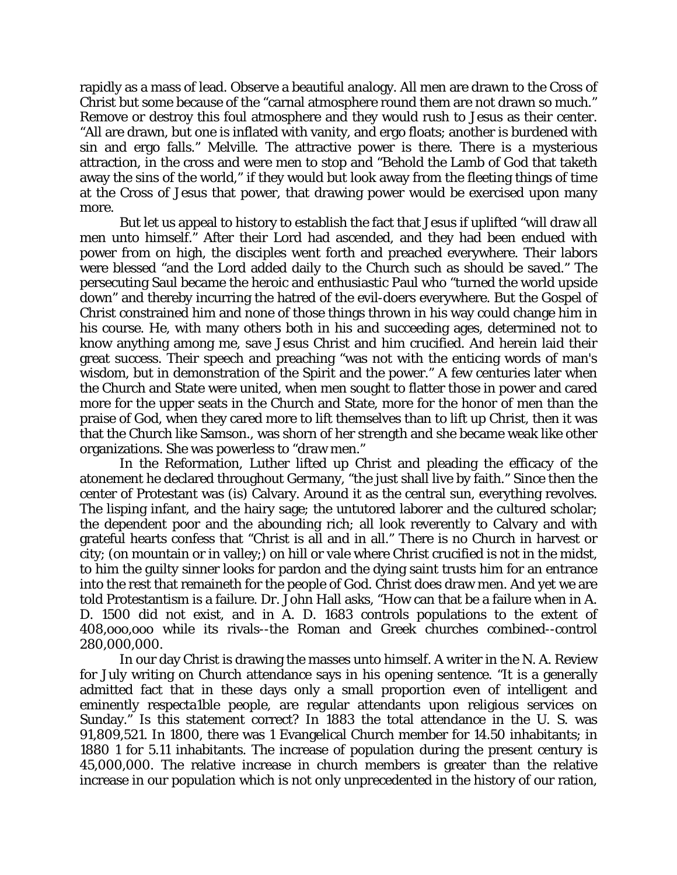rapidly as a mass of lead. Observe a beautiful analogy. All men are drawn to the Cross of Christ but some because of the "carnal atmosphere round them are not drawn so much." Remove or destroy this foul atmosphere and they would rush to Jesus as their center. "All are drawn, but one is inflated with vanity, and ergo floats; another is burdened with sin and ergo falls." Melville. The attractive power is there. There is a mysterious attraction, in the cross and were men to stop and "Behold the Lamb of God that taketh away the sins of the world," if they would but look away from the fleeting things of time at the Cross of Jesus that power, that drawing power would be exercised upon many more.

But let us appeal to history to establish the fact that Jesus if uplifted "will draw all men unto himself." After their Lord had ascended, and they had been endued with power from on high, the disciples went forth and preached everywhere. Their labors were blessed "and the Lord added daily to the Church such as should be saved." The persecuting Saul became the heroic and enthusiastic Paul who "turned the world upside down" and thereby incurring the hatred of the evil-doers everywhere. But the Gospel of Christ constrained him and none of those things thrown in his way could change him in his course. He, with many others both in his and succeeding ages, determined not to know anything among me, save Jesus Christ and him crucified. And herein laid their great success. Their speech and preaching "was not with the enticing words of man's wisdom, but in demonstration of the Spirit and the power." A few centuries later when the Church and State were united, when men sought to flatter those in power and cared more for the upper seats in the Church and State, more for the honor of men than the praise of God, when they cared more to lift themselves than to lift up Christ, then it was that the Church like Samson., was shorn of her strength and she became weak like other organizations. She was powerless to "draw men."

In the Reformation, Luther lifted up Christ and pleading the efficacy of the atonement he declared throughout Germany, "the just shall live by faith." Since then the center of Protestant was (is) Calvary. Around it as the central sun, everything revolves. The lisping infant, and the hairy sage; the untutored laborer and the cultured scholar; the dependent poor and the abounding rich; all look reverently to Calvary and with grateful hearts confess that "Christ is all and in all." There is no Church in harvest or city; (on mountain or in valley;) on hill or vale where Christ crucified is not in the midst, to him the guilty sinner looks for pardon and the dying saint trusts him for an entrance into the rest that remaineth for the people of God. Christ does draw men. And yet we are told Protestantism is a failure. Dr. John Hall asks, "How can that be a failure when in A. D. 1500 did not exist, and in A. D. 1683 controls populations to the extent of 408,ooo,ooo while its rivals--the Roman and Greek churches combined--control 280,000,000.

In our day Christ is drawing the masses unto himself. A writer in the N. A. Review for July writing on Church attendance says in his opening sentence. "It is a generally admitted fact that in these days only a small proportion even of intelligent and eminently respecta1ble people, are regular attendants upon religious services on Sunday." Is this statement correct? In 1883 the total attendance in the U. S. was 91,809,521. In 1800, there was 1 Evangelical Church member for 14.50 inhabitants; in 1880 1 for 5.11 inhabitants. The increase of population during the present century is 45,000,000. The relative increase in church members is greater than the relative increase in our population which is not only unprecedented in the history of our ration,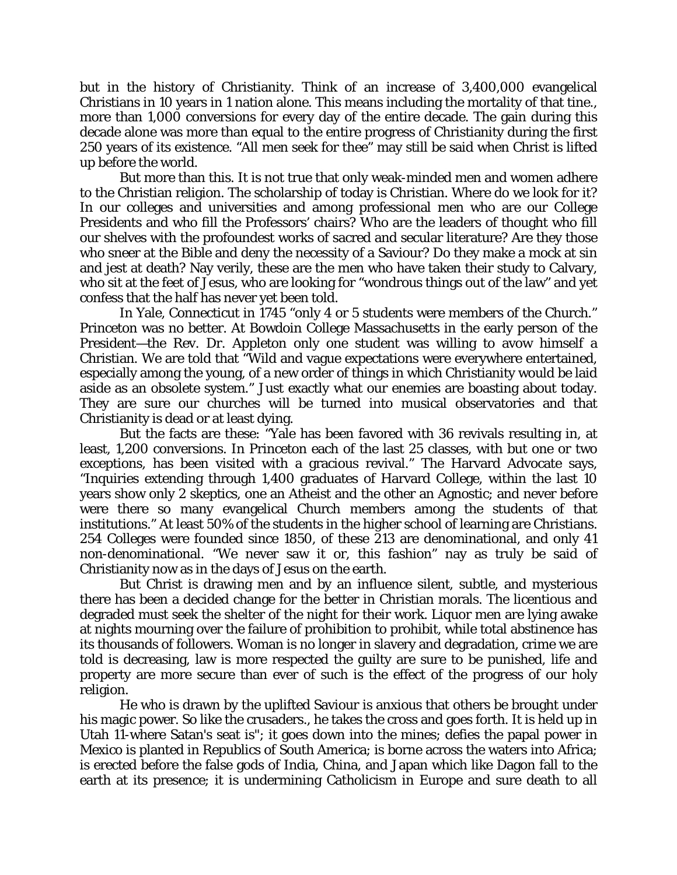but in the history of Christianity. Think of an increase of 3,400,000 evangelical Christians in 10 years in 1 nation alone. This means including the mortality of that tine., more than 1,000 conversions for every day of the entire decade. The gain during this decade alone was more than equal to the entire progress of Christianity during the first 250 years of its existence. "All men seek for thee" may still be said when Christ is lifted up before the world.

But more than this. It is not true that only weak-minded men and women adhere to the Christian religion. The scholarship of today is Christian. Where do we look for it? In our colleges and universities and among professional men who are our College Presidents and who fill the Professors' chairs? Who are the leaders of thought who fill our shelves with the profoundest works of sacred and secular literature? Are they those who sneer at the Bible and deny the necessity of a Saviour? Do they make a mock at sin and jest at death? Nay verily, these are the men who have taken their study to Calvary, who sit at the feet of Jesus, who are looking for "wondrous things out of the law" and yet confess that the half has never yet been told.

In Yale, Connecticut in 1745 "only 4 or 5 students were members of the Church." Princeton was no better. At Bowdoin College Massachusetts in the early person of the President—the Rev. Dr. Appleton only one student was willing to avow himself a Christian. We are told that "Wild and vague expectations were everywhere entertained, especially among the young, of a new order of things in which Christianity would be laid aside as an obsolete system." Just exactly what our enemies are boasting about today. They are sure our churches will be turned into musical observatories and that Christianity is dead or at least dying.

But the facts are these: "Yale has been favored with 36 revivals resulting in, at least, 1,200 conversions. In Princeton each of the last 25 classes, with but one or two exceptions, has been visited with a gracious revival." The Harvard Advocate says, "Inquiries extending through 1,400 graduates of Harvard College, within the last 10 years show only 2 skeptics, one an Atheist and the other an Agnostic; and never before were there so many evangelical Church members among the students of that institutions." At least 50% of the students in the higher school of learning are Christians. 254 Colleges were founded since 1850, of these 213 are denominational, and only 41 non-denominational. "We never saw it or, this fashion" nay as truly be said of Christianity now as in the days of Jesus on the earth.

But Christ is drawing men and by an influence silent, subtle, and mysterious there has been a decided change for the better in Christian morals. The licentious and degraded must seek the shelter of the night for their work. Liquor men are lying awake at nights mourning over the failure of prohibition to prohibit, while total abstinence has its thousands of followers. Woman is no longer in slavery and degradation, crime we are told is decreasing, law is more respected the guilty are sure to be punished, life and property are more secure than ever of such is the effect of the progress of our holy religion.

He who is drawn by the uplifted Saviour is anxious that others be brought under his magic power. So like the crusaders., he takes the cross and goes forth. It is held up in Utah 11-where Satan's seat is"; it goes down into the mines; defies the papal power in Mexico is planted in Republics of South America; is borne across the waters into Africa; is erected before the false gods of India, China, and Japan which like Dagon fall to the earth at its presence; it is undermining Catholicism in Europe and sure death to all